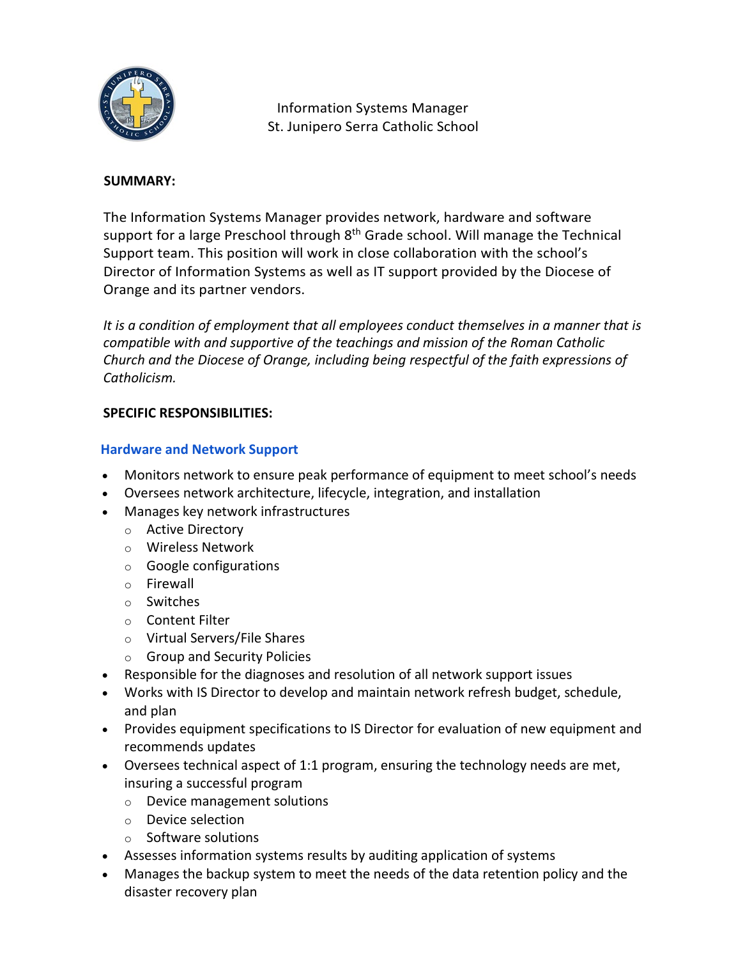

Information Systems Manager St. Junipero Serra Catholic School

#### **SUMMARY:**

The Information Systems Manager provides network, hardware and software support for a large Preschool through  $8<sup>th</sup>$  Grade school. Will manage the Technical Support team. This position will work in close collaboration with the school's Director of Information Systems as well as IT support provided by the Diocese of Orange and its partner vendors.

*It is a condition of employment that all employees conduct themselves in a manner that is compatible with and supportive of the teachings and mission of the Roman Catholic Church and the Diocese of Orange, including being respectful of the faith expressions of Catholicism.*

### **SPECIFIC RESPONSIBILITIES:**

### **Hardware and Network Support**

- Monitors network to ensure peak performance of equipment to meet school's needs
- Oversees network architecture, lifecycle, integration, and installation
- Manages key network infrastructures
	- o Active Directory
	- o Wireless Network
	- o Google configurations
	- o Firewall
	- o Switches
	- o Content Filter
	- o Virtual Servers/File Shares
	- o Group and Security Policies
- Responsible for the diagnoses and resolution of all network support issues
- Works with IS Director to develop and maintain network refresh budget, schedule, and plan
- Provides equipment specifications to IS Director for evaluation of new equipment and recommends updates
- Oversees technical aspect of 1:1 program, ensuring the technology needs are met, insuring a successful program
	- o Device management solutions
	- o Device selection
	- o Software solutions
- Assesses information systems results by auditing application of systems
- Manages the backup system to meet the needs of the data retention policy and the disaster recovery plan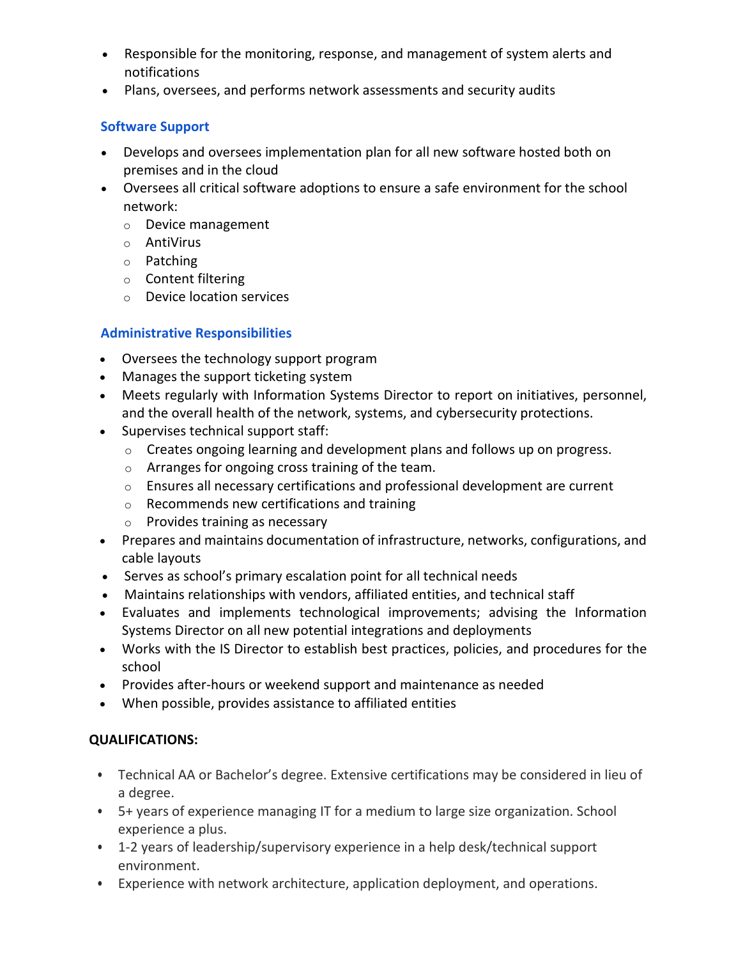- Responsible for the monitoring, response, and management of system alerts and notifications
- Plans, oversees, and performs network assessments and security audits

# **Software Support**

- Develops and oversees implementation plan for all new software hosted both on premises and in the cloud
- Oversees all critical software adoptions to ensure a safe environment for the school network:
	- o Device management
	- o AntiVirus
	- o Patching
	- o Content filtering
	- o Device location services

### **Administrative Responsibilities**

- Oversees the technology support program
- Manages the support ticketing system
- Meets regularly with Information Systems Director to report on initiatives, personnel, and the overall health of the network, systems, and cybersecurity protections.
- Supervises technical support staff:
	- o Creates ongoing learning and development plans and follows up on progress.
	- o Arranges for ongoing cross training of the team.
	- $\circ$  Ensures all necessary certifications and professional development are current
	- o Recommends new certifications and training
	- o Provides training as necessary
- Prepares and maintains documentation of infrastructure, networks, configurations, and cable layouts
- Serves as school's primary escalation point for all technical needs
- Maintains relationships with vendors, affiliated entities, and technical staff
- Evaluates and implements technological improvements; advising the Information Systems Director on all new potential integrations and deployments
- Works with the IS Director to establish best practices, policies, and procedures for the school
- Provides after-hours or weekend support and maintenance as needed
- When possible, provides assistance to affiliated entities

# **QUALIFICATIONS:**

- Technical AA or Bachelor's degree. Extensive certifications may be considered in lieu of a degree.
- 5+ years of experience managing IT for a medium to large size organization. School experience a plus.
- 1-2 years of leadership/supervisory experience in a help desk/technical support environment.
- Experience with network architecture, application deployment, and operations.